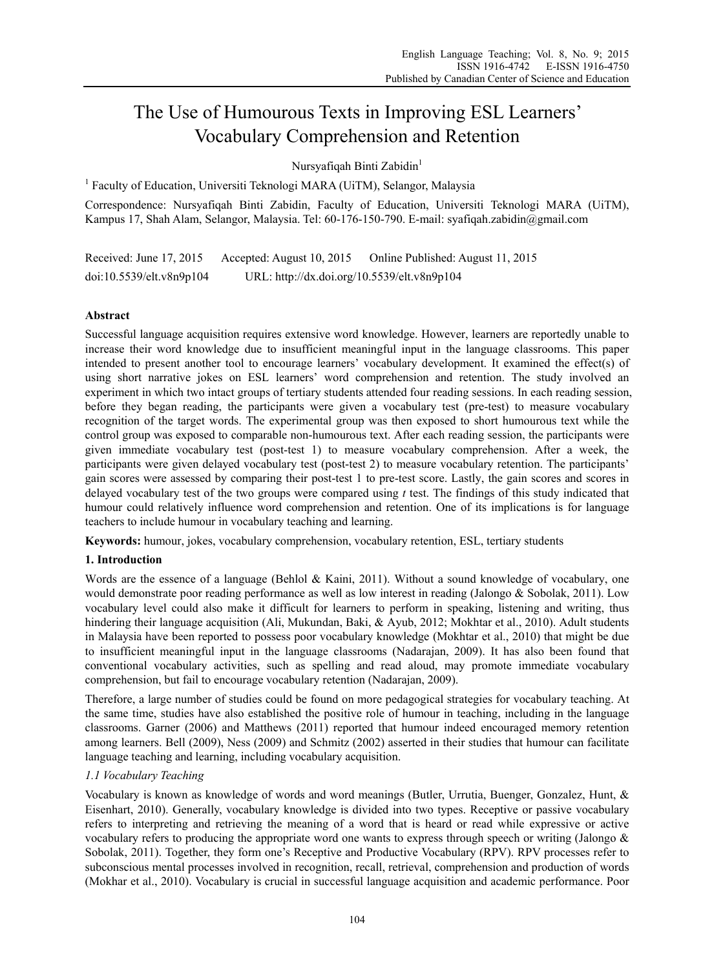# The Use of Humourous Texts in Improving ESL Learners' Vocabulary Comprehension and Retention

Nursyafiqah Binti Zabidin<sup>1</sup>

<sup>1</sup> Faculty of Education, Universiti Teknologi MARA (UiTM), Selangor, Malaysia

Correspondence: Nursyafiqah Binti Zabidin, Faculty of Education, Universiti Teknologi MARA (UiTM), Kampus 17, Shah Alam, Selangor, Malaysia. Tel: 60-176-150-790. E-mail: syafiqah.zabidin@gmail.com

Received: June 17, 2015 Accepted: August 10, 2015 Online Published: August 11, 2015 doi:10.5539/elt.v8n9p104 URL: http://dx.doi.org/10.5539/elt.v8n9p104

# **Abstract**

Successful language acquisition requires extensive word knowledge. However, learners are reportedly unable to increase their word knowledge due to insufficient meaningful input in the language classrooms. This paper intended to present another tool to encourage learners' vocabulary development. It examined the effect(s) of using short narrative jokes on ESL learners' word comprehension and retention. The study involved an experiment in which two intact groups of tertiary students attended four reading sessions. In each reading session, before they began reading, the participants were given a vocabulary test (pre-test) to measure vocabulary recognition of the target words. The experimental group was then exposed to short humourous text while the control group was exposed to comparable non-humourous text. After each reading session, the participants were given immediate vocabulary test (post-test 1) to measure vocabulary comprehension. After a week, the participants were given delayed vocabulary test (post-test 2) to measure vocabulary retention. The participants' gain scores were assessed by comparing their post-test 1 to pre-test score. Lastly, the gain scores and scores in delayed vocabulary test of the two groups were compared using *t* test. The findings of this study indicated that humour could relatively influence word comprehension and retention. One of its implications is for language teachers to include humour in vocabulary teaching and learning.

**Keywords:** humour, jokes, vocabulary comprehension, vocabulary retention, ESL, tertiary students

# **1. Introduction**

Words are the essence of a language (Behlol & Kaini, 2011). Without a sound knowledge of vocabulary, one would demonstrate poor reading performance as well as low interest in reading (Jalongo & Sobolak, 2011). Low vocabulary level could also make it difficult for learners to perform in speaking, listening and writing, thus hindering their language acquisition (Ali, Mukundan, Baki, & Ayub, 2012; Mokhtar et al., 2010). Adult students in Malaysia have been reported to possess poor vocabulary knowledge (Mokhtar et al., 2010) that might be due to insufficient meaningful input in the language classrooms (Nadarajan, 2009). It has also been found that conventional vocabulary activities, such as spelling and read aloud, may promote immediate vocabulary comprehension, but fail to encourage vocabulary retention (Nadarajan, 2009).

Therefore, a large number of studies could be found on more pedagogical strategies for vocabulary teaching. At the same time, studies have also established the positive role of humour in teaching, including in the language classrooms. Garner (2006) and Matthews (2011) reported that humour indeed encouraged memory retention among learners. Bell (2009), Ness (2009) and Schmitz (2002) asserted in their studies that humour can facilitate language teaching and learning, including vocabulary acquisition.

# *1.1 Vocabulary Teaching*

Vocabulary is known as knowledge of words and word meanings (Butler, Urrutia, Buenger, Gonzalez, Hunt, & Eisenhart, 2010). Generally, vocabulary knowledge is divided into two types. Receptive or passive vocabulary refers to interpreting and retrieving the meaning of a word that is heard or read while expressive or active vocabulary refers to producing the appropriate word one wants to express through speech or writing (Jalongo  $\&$ Sobolak, 2011). Together, they form one's Receptive and Productive Vocabulary (RPV). RPV processes refer to subconscious mental processes involved in recognition, recall, retrieval, comprehension and production of words (Mokhar et al., 2010). Vocabulary is crucial in successful language acquisition and academic performance. Poor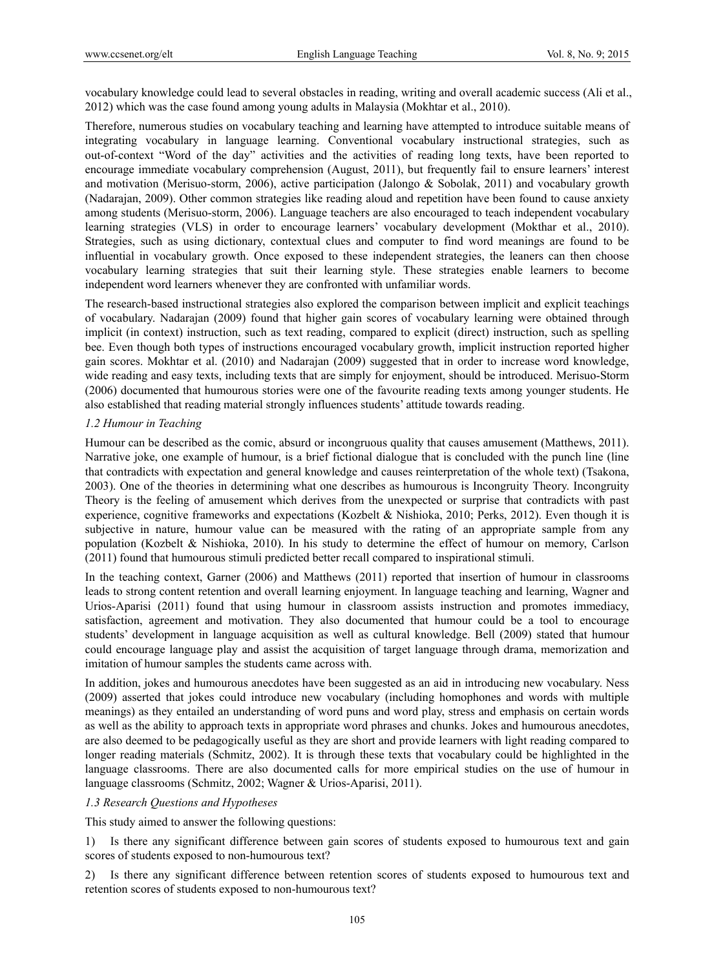vocabulary knowledge could lead to several obstacles in reading, writing and overall academic success (Ali et al., 2012) which was the case found among young adults in Malaysia (Mokhtar et al., 2010).

Therefore, numerous studies on vocabulary teaching and learning have attempted to introduce suitable means of integrating vocabulary in language learning. Conventional vocabulary instructional strategies, such as out-of-context "Word of the day" activities and the activities of reading long texts, have been reported to encourage immediate vocabulary comprehension (August, 2011), but frequently fail to ensure learners' interest and motivation (Merisuo-storm, 2006), active participation (Jalongo & Sobolak, 2011) and vocabulary growth (Nadarajan, 2009). Other common strategies like reading aloud and repetition have been found to cause anxiety among students (Merisuo-storm, 2006). Language teachers are also encouraged to teach independent vocabulary learning strategies (VLS) in order to encourage learners' vocabulary development (Mokthar et al., 2010). Strategies, such as using dictionary, contextual clues and computer to find word meanings are found to be influential in vocabulary growth. Once exposed to these independent strategies, the leaners can then choose vocabulary learning strategies that suit their learning style. These strategies enable learners to become independent word learners whenever they are confronted with unfamiliar words.

The research-based instructional strategies also explored the comparison between implicit and explicit teachings of vocabulary. Nadarajan (2009) found that higher gain scores of vocabulary learning were obtained through implicit (in context) instruction, such as text reading, compared to explicit (direct) instruction, such as spelling bee. Even though both types of instructions encouraged vocabulary growth, implicit instruction reported higher gain scores. Mokhtar et al. (2010) and Nadarajan (2009) suggested that in order to increase word knowledge, wide reading and easy texts, including texts that are simply for enjoyment, should be introduced. Merisuo-Storm (2006) documented that humourous stories were one of the favourite reading texts among younger students. He also established that reading material strongly influences students' attitude towards reading.

## *1.2 Humour in Teaching*

Humour can be described as the comic, absurd or incongruous quality that causes amusement (Matthews, 2011). Narrative joke, one example of humour, is a brief fictional dialogue that is concluded with the punch line (line that contradicts with expectation and general knowledge and causes reinterpretation of the whole text) (Tsakona, 2003). One of the theories in determining what one describes as humourous is Incongruity Theory. Incongruity Theory is the feeling of amusement which derives from the unexpected or surprise that contradicts with past experience, cognitive frameworks and expectations (Kozbelt & Nishioka, 2010; Perks, 2012). Even though it is subjective in nature, humour value can be measured with the rating of an appropriate sample from any population (Kozbelt & Nishioka, 2010). In his study to determine the effect of humour on memory, Carlson (2011) found that humourous stimuli predicted better recall compared to inspirational stimuli.

In the teaching context, Garner (2006) and Matthews (2011) reported that insertion of humour in classrooms leads to strong content retention and overall learning enjoyment. In language teaching and learning, Wagner and Urios-Aparisi (2011) found that using humour in classroom assists instruction and promotes immediacy, satisfaction, agreement and motivation. They also documented that humour could be a tool to encourage students' development in language acquisition as well as cultural knowledge. Bell (2009) stated that humour could encourage language play and assist the acquisition of target language through drama, memorization and imitation of humour samples the students came across with.

In addition, jokes and humourous anecdotes have been suggested as an aid in introducing new vocabulary. Ness (2009) asserted that jokes could introduce new vocabulary (including homophones and words with multiple meanings) as they entailed an understanding of word puns and word play, stress and emphasis on certain words as well as the ability to approach texts in appropriate word phrases and chunks. Jokes and humourous anecdotes, are also deemed to be pedagogically useful as they are short and provide learners with light reading compared to longer reading materials (Schmitz, 2002). It is through these texts that vocabulary could be highlighted in the language classrooms. There are also documented calls for more empirical studies on the use of humour in language classrooms (Schmitz, 2002; Wagner & Urios-Aparisi, 2011).

## *1.3 Research Questions and Hypotheses*

This study aimed to answer the following questions:

1) Is there any significant difference between gain scores of students exposed to humourous text and gain scores of students exposed to non-humourous text?

2) Is there any significant difference between retention scores of students exposed to humourous text and retention scores of students exposed to non-humourous text?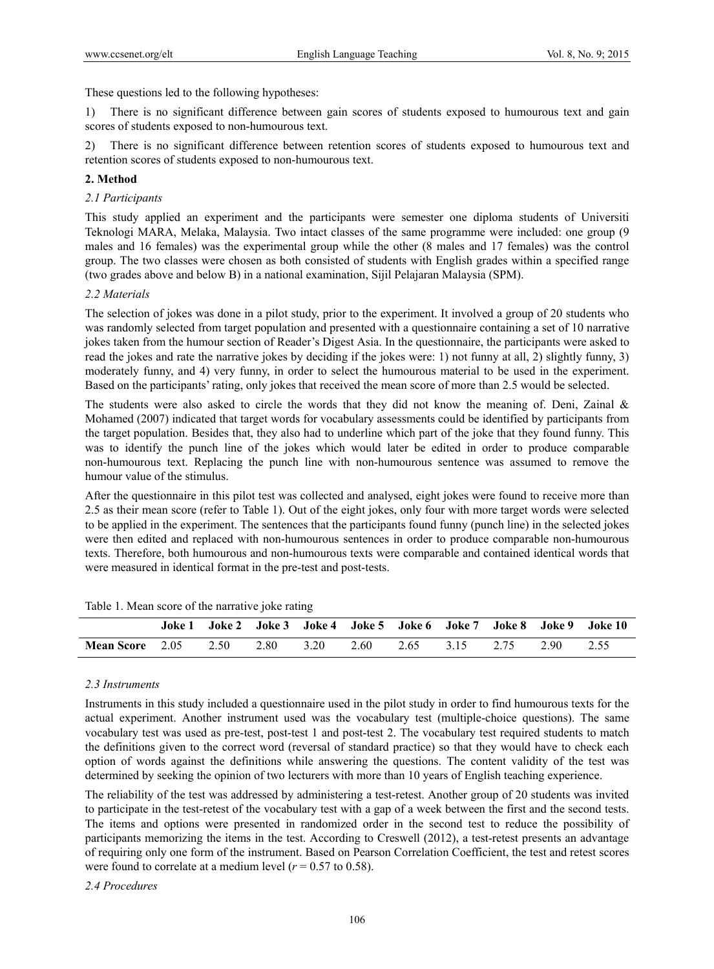These questions led to the following hypotheses:

1) There is no significant difference between gain scores of students exposed to humourous text and gain scores of students exposed to non-humourous text.

2) There is no significant difference between retention scores of students exposed to humourous text and retention scores of students exposed to non-humourous text.

## **2. Method**

### *2.1 Participants*

This study applied an experiment and the participants were semester one diploma students of Universiti Teknologi MARA, Melaka, Malaysia. Two intact classes of the same programme were included: one group (9 males and 16 females) was the experimental group while the other (8 males and 17 females) was the control group. The two classes were chosen as both consisted of students with English grades within a specified range (two grades above and below B) in a national examination, Sijil Pelajaran Malaysia (SPM).

### *2.2 Materials*

The selection of jokes was done in a pilot study, prior to the experiment. It involved a group of 20 students who was randomly selected from target population and presented with a questionnaire containing a set of 10 narrative jokes taken from the humour section of Reader's Digest Asia. In the questionnaire, the participants were asked to read the jokes and rate the narrative jokes by deciding if the jokes were: 1) not funny at all, 2) slightly funny, 3) moderately funny, and 4) very funny, in order to select the humourous material to be used in the experiment. Based on the participants' rating, only jokes that received the mean score of more than 2.5 would be selected.

The students were also asked to circle the words that they did not know the meaning of. Deni, Zainal  $\&$ Mohamed (2007) indicated that target words for vocabulary assessments could be identified by participants from the target population. Besides that, they also had to underline which part of the joke that they found funny. This was to identify the punch line of the jokes which would later be edited in order to produce comparable non-humourous text. Replacing the punch line with non-humourous sentence was assumed to remove the humour value of the stimulus.

After the questionnaire in this pilot test was collected and analysed, eight jokes were found to receive more than 2.5 as their mean score (refer to Table 1). Out of the eight jokes, only four with more target words were selected to be applied in the experiment. The sentences that the participants found funny (punch line) in the selected jokes were then edited and replaced with non-humourous sentences in order to produce comparable non-humourous texts. Therefore, both humourous and non-humourous texts were comparable and contained identical words that were measured in identical format in the pre-test and post-tests.

|                        |      |      |      |      |           |           | Joke 1 Joke 2 Joke 3 Joke 4 Joke 5 Joke 6 Joke 7 Joke 8 Joke 9 Joke 10 |
|------------------------|------|------|------|------|-----------|-----------|------------------------------------------------------------------------|
| <b>Mean Score</b> 2.05 | 2.50 | 2.80 | 3.20 | 2.60 | 2.65 3.15 | 2.75 2.90 | 2.55                                                                   |

Table 1. Mean score of the narrative joke rating

## *2.3 Instruments*

Instruments in this study included a questionnaire used in the pilot study in order to find humourous texts for the actual experiment. Another instrument used was the vocabulary test (multiple-choice questions). The same vocabulary test was used as pre-test, post-test 1 and post-test 2. The vocabulary test required students to match the definitions given to the correct word (reversal of standard practice) so that they would have to check each option of words against the definitions while answering the questions. The content validity of the test was determined by seeking the opinion of two lecturers with more than 10 years of English teaching experience.

The reliability of the test was addressed by administering a test-retest. Another group of 20 students was invited to participate in the test-retest of the vocabulary test with a gap of a week between the first and the second tests. The items and options were presented in randomized order in the second test to reduce the possibility of participants memorizing the items in the test. According to Creswell (2012), a test-retest presents an advantage of requiring only one form of the instrument. Based on Pearson Correlation Coefficient, the test and retest scores were found to correlate at a medium level  $(r = 0.57$  to 0.58).

*2.4 Procedures*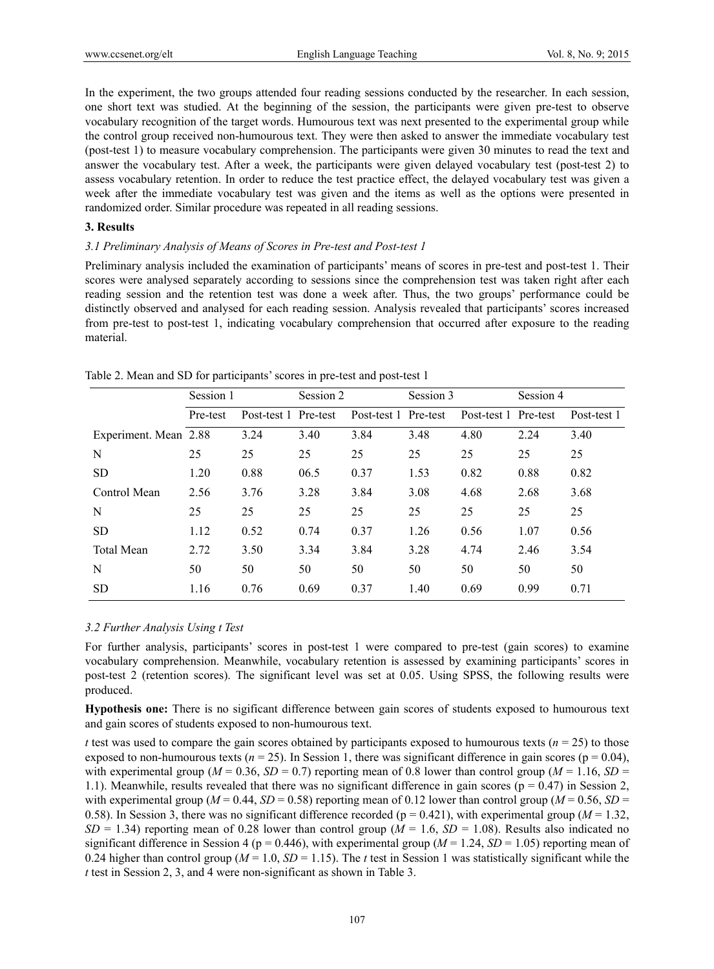In the experiment, the two groups attended four reading sessions conducted by the researcher. In each session, one short text was studied. At the beginning of the session, the participants were given pre-test to observe vocabulary recognition of the target words. Humourous text was next presented to the experimental group while the control group received non-humourous text. They were then asked to answer the immediate vocabulary test (post-test 1) to measure vocabulary comprehension. The participants were given 30 minutes to read the text and answer the vocabulary test. After a week, the participants were given delayed vocabulary test (post-test 2) to assess vocabulary retention. In order to reduce the test practice effect, the delayed vocabulary test was given a week after the immediate vocabulary test was given and the items as well as the options were presented in randomized order. Similar procedure was repeated in all reading sessions.

#### **3. Results**

#### *3.1 Preliminary Analysis of Means of Scores in Pre-test and Post-test 1*

Preliminary analysis included the examination of participants' means of scores in pre-test and post-test 1. Their scores were analysed separately according to sessions since the comprehension test was taken right after each reading session and the retention test was done a week after. Thus, the two groups' performance could be distinctly observed and analysed for each reading session. Analysis revealed that participants' scores increased from pre-test to post-test 1, indicating vocabulary comprehension that occurred after exposure to the reading material.

|                       | Session 1 |                      | Session 2 |                      | Session 3 |                      | Session 4 |             |
|-----------------------|-----------|----------------------|-----------|----------------------|-----------|----------------------|-----------|-------------|
|                       | Pre-test  | Post-test 1 Pre-test |           | Post-test 1 Pre-test |           | Post-test 1 Pre-test |           | Post-test 1 |
| Experiment. Mean 2.88 |           | 3.24                 | 3.40      | 3.84                 | 3.48      | 4.80                 | 2.24      | 3.40        |
| N                     | 25        | 25                   | 25        | 25                   | 25        | 25                   | 25        | 25          |
| <b>SD</b>             | 1.20      | 0.88                 | 06.5      | 0.37                 | 1.53      | 0.82                 | 0.88      | 0.82        |
| Control Mean          | 2.56      | 3.76                 | 3.28      | 3.84                 | 3.08      | 4.68                 | 2.68      | 3.68        |
| N                     | 25        | 25                   | 25        | 25                   | 25        | 25                   | 25        | 25          |
| <b>SD</b>             | 1.12      | 0.52                 | 0.74      | 0.37                 | 1.26      | 0.56                 | 1.07      | 0.56        |
| <b>Total Mean</b>     | 2.72      | 3.50                 | 3.34      | 3.84                 | 3.28      | 4.74                 | 2.46      | 3.54        |
| N                     | 50        | 50                   | 50        | 50                   | 50        | 50                   | 50        | 50          |
| <b>SD</b>             | 1.16      | 0.76                 | 0.69      | 0.37                 | 1.40      | 0.69                 | 0.99      | 0.71        |

Table 2. Mean and SD for participants' scores in pre-test and post-test 1

# *3.2 Further Analysis Using t Test*

For further analysis, participants' scores in post-test 1 were compared to pre-test (gain scores) to examine vocabulary comprehension. Meanwhile, vocabulary retention is assessed by examining participants' scores in post-test 2 (retention scores). The significant level was set at 0.05. Using SPSS, the following results were produced.

**Hypothesis one:** There is no sigificant difference between gain scores of students exposed to humourous text and gain scores of students exposed to non-humourous text.

*t* test was used to compare the gain scores obtained by participants exposed to humourous texts ( $n = 25$ ) to those exposed to non-humourous texts ( $n = 25$ ). In Session 1, there was significant difference in gain scores ( $p = 0.04$ ), with experimental group ( $M = 0.36$ ,  $SD = 0.7$ ) reporting mean of 0.8 lower than control group ( $M = 1.16$ ,  $SD =$ 1.1). Meanwhile, results revealed that there was no significant difference in gain scores ( $p = 0.47$ ) in Session 2, with experimental group ( $M = 0.44$ ,  $SD = 0.58$ ) reporting mean of 0.12 lower than control group ( $M = 0.56$ ,  $SD =$ 0.58). In Session 3, there was no significant difference recorded ( $p = 0.421$ ), with experimental group ( $M = 1.32$ ,  $SD = 1.34$ ) reporting mean of 0.28 lower than control group ( $M = 1.6$ ,  $SD = 1.08$ ). Results also indicated no significant difference in Session 4 ( $p = 0.446$ ), with experimental group ( $M = 1.24$ ,  $SD = 1.05$ ) reporting mean of 0.24 higher than control group ( $M = 1.0$ ,  $SD = 1.15$ ). The *t* test in Session 1 was statistically significant while the *t* test in Session 2, 3, and 4 were non-significant as shown in Table 3.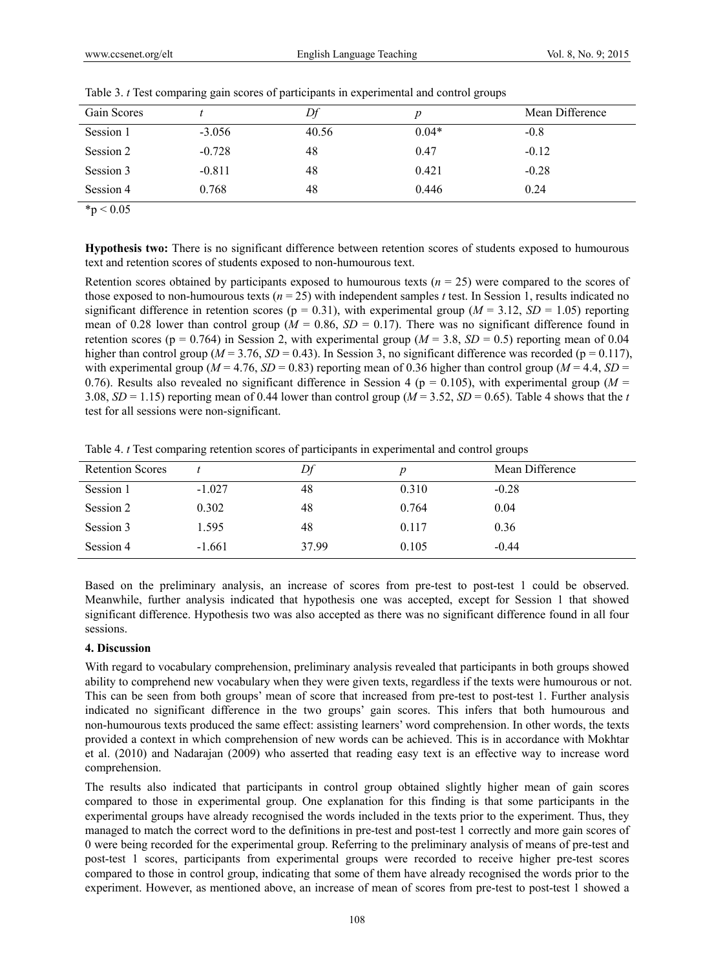| Gain Scores |          |       |         | Mean Difference |
|-------------|----------|-------|---------|-----------------|
| Session 1   | $-3.056$ | 40.56 | $0.04*$ | $-0.8$          |
| Session 2   | $-0.728$ | 48    | 0.47    | $-0.12$         |
| Session 3   | $-0.811$ | 48    | 0.421   | $-0.28$         |
| Session 4   | 0.768    | 48    | 0.446   | 0.24            |

Table 3. *t* Test comparing gain scores of participants in experimental and control groups

 $*_{p} < 0.05$ 

**Hypothesis two:** There is no significant difference between retention scores of students exposed to humourous text and retention scores of students exposed to non-humourous text.

Retention scores obtained by participants exposed to humourous texts (*n* = 25) were compared to the scores of those exposed to non-humourous texts (*n* = 25) with independent samples *t* test. In Session 1, results indicated no significant difference in retention scores ( $p = 0.31$ ), with experimental group ( $M = 3.12$ ,  $SD = 1.05$ ) reporting mean of 0.28 lower than control group ( $M = 0.86$ ,  $SD = 0.17$ ). There was no significant difference found in retention scores ( $p = 0.764$ ) in Session 2, with experimental group ( $M = 3.8$ ,  $SD = 0.5$ ) reporting mean of 0.04 higher than control group ( $M = 3.76$ ,  $SD = 0.43$ ). In Session 3, no significant difference was recorded ( $p = 0.117$ ), with experimental group ( $M = 4.76$ ,  $SD = 0.83$ ) reporting mean of 0.36 higher than control group ( $M = 4.4$ ,  $SD =$ 0.76). Results also revealed no significant difference in Session 4 ( $p = 0.105$ ), with experimental group ( $M =$ 3.08,  $SD = 1.15$ ) reporting mean of 0.44 lower than control group ( $M = 3.52$ ,  $SD = 0.65$ ). Table 4 shows that the *t* test for all sessions were non-significant.

Table 4. *t* Test comparing retention scores of participants in experimental and control groups

| <b>Retention Scores</b> |          | Df    |       | Mean Difference |
|-------------------------|----------|-------|-------|-----------------|
| Session 1               | $-1.027$ | 48    | 0.310 | $-0.28$         |
| Session 2               | 0.302    | 48    | 0.764 | 0.04            |
| Session 3               | 1.595    | 48    | 0.117 | 0.36            |
| Session 4               | $-1.661$ | 37.99 | 0.105 | $-0.44$         |

Based on the preliminary analysis, an increase of scores from pre-test to post-test 1 could be observed. Meanwhile, further analysis indicated that hypothesis one was accepted, except for Session 1 that showed significant difference. Hypothesis two was also accepted as there was no significant difference found in all four sessions.

## **4. Discussion**

With regard to vocabulary comprehension, preliminary analysis revealed that participants in both groups showed ability to comprehend new vocabulary when they were given texts, regardless if the texts were humourous or not. This can be seen from both groups' mean of score that increased from pre-test to post-test 1. Further analysis indicated no significant difference in the two groups' gain scores. This infers that both humourous and non-humourous texts produced the same effect: assisting learners' word comprehension. In other words, the texts provided a context in which comprehension of new words can be achieved. This is in accordance with Mokhtar et al. (2010) and Nadarajan (2009) who asserted that reading easy text is an effective way to increase word comprehension.

The results also indicated that participants in control group obtained slightly higher mean of gain scores compared to those in experimental group. One explanation for this finding is that some participants in the experimental groups have already recognised the words included in the texts prior to the experiment. Thus, they managed to match the correct word to the definitions in pre-test and post-test 1 correctly and more gain scores of 0 were being recorded for the experimental group. Referring to the preliminary analysis of means of pre-test and post-test 1 scores, participants from experimental groups were recorded to receive higher pre-test scores compared to those in control group, indicating that some of them have already recognised the words prior to the experiment. However, as mentioned above, an increase of mean of scores from pre-test to post-test 1 showed a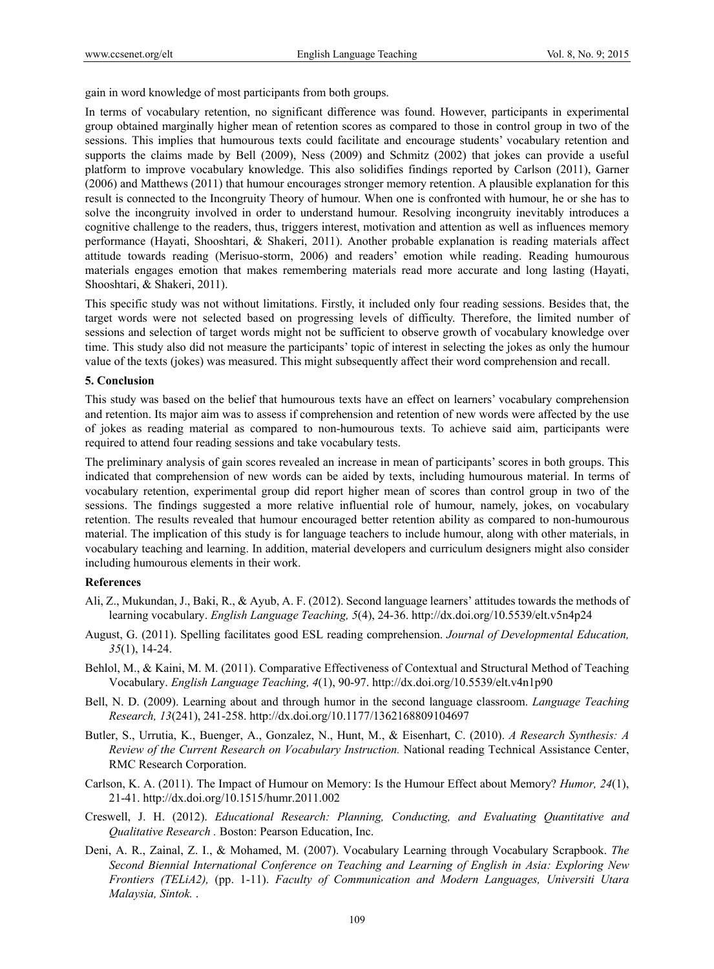gain in word knowledge of most participants from both groups.

In terms of vocabulary retention, no significant difference was found. However, participants in experimental group obtained marginally higher mean of retention scores as compared to those in control group in two of the sessions. This implies that humourous texts could facilitate and encourage students' vocabulary retention and supports the claims made by Bell (2009), Ness (2009) and Schmitz (2002) that jokes can provide a useful platform to improve vocabulary knowledge. This also solidifies findings reported by Carlson (2011), Garner (2006) and Matthews (2011) that humour encourages stronger memory retention. A plausible explanation for this result is connected to the Incongruity Theory of humour. When one is confronted with humour, he or she has to solve the incongruity involved in order to understand humour. Resolving incongruity inevitably introduces a cognitive challenge to the readers, thus, triggers interest, motivation and attention as well as influences memory performance (Hayati, Shooshtari, & Shakeri, 2011). Another probable explanation is reading materials affect attitude towards reading (Merisuo-storm, 2006) and readers' emotion while reading. Reading humourous materials engages emotion that makes remembering materials read more accurate and long lasting (Hayati, Shooshtari, & Shakeri, 2011).

This specific study was not without limitations. Firstly, it included only four reading sessions. Besides that, the target words were not selected based on progressing levels of difficulty. Therefore, the limited number of sessions and selection of target words might not be sufficient to observe growth of vocabulary knowledge over time. This study also did not measure the participants' topic of interest in selecting the jokes as only the humour value of the texts (jokes) was measured. This might subsequently affect their word comprehension and recall.

### **5. Conclusion**

This study was based on the belief that humourous texts have an effect on learners' vocabulary comprehension and retention. Its major aim was to assess if comprehension and retention of new words were affected by the use of jokes as reading material as compared to non-humourous texts. To achieve said aim, participants were required to attend four reading sessions and take vocabulary tests.

The preliminary analysis of gain scores revealed an increase in mean of participants' scores in both groups. This indicated that comprehension of new words can be aided by texts, including humourous material. In terms of vocabulary retention, experimental group did report higher mean of scores than control group in two of the sessions. The findings suggested a more relative influential role of humour, namely, jokes, on vocabulary retention. The results revealed that humour encouraged better retention ability as compared to non-humourous material. The implication of this study is for language teachers to include humour, along with other materials, in vocabulary teaching and learning. In addition, material developers and curriculum designers might also consider including humourous elements in their work.

## **References**

- Ali, Z., Mukundan, J., Baki, R., & Ayub, A. F. (2012). Second language learners' attitudes towards the methods of learning vocabulary. *English Language Teaching, 5*(4), 24-36. http://dx.doi.org/10.5539/elt.v5n4p24
- August, G. (2011). Spelling facilitates good ESL reading comprehension. *Journal of Developmental Education, 35*(1), 14-24.
- Behlol, M., & Kaini, M. M. (2011). Comparative Effectiveness of Contextual and Structural Method of Teaching Vocabulary. *English Language Teaching, 4*(1), 90-97. http://dx.doi.org/10.5539/elt.v4n1p90
- Bell, N. D. (2009). Learning about and through humor in the second language classroom. *Language Teaching Research, 13*(241), 241-258. http://dx.doi.org/10.1177/1362168809104697
- Butler, S., Urrutia, K., Buenger, A., Gonzalez, N., Hunt, M., & Eisenhart, C. (2010). *A Research Synthesis: A Review of the Current Research on Vocabulary Instruction.* National reading Technical Assistance Center, RMC Research Corporation.
- Carlson, K. A. (2011). The Impact of Humour on Memory: Is the Humour Effect about Memory? *Humor, 24*(1), 21-41. http://dx.doi.org/10.1515/humr.2011.002
- Creswell, J. H. (2012). *Educational Research: Planning, Conducting, and Evaluating Quantitative and Qualitative Research .* Boston: Pearson Education, Inc.
- Deni, A. R., Zainal, Z. I., & Mohamed, M. (2007). Vocabulary Learning through Vocabulary Scrapbook. *The Second Biennial International Conference on Teaching and Learning of English in Asia: Exploring New Frontiers (TELiA2),* (pp. 1-11). *Faculty of Communication and Modern Languages, Universiti Utara Malaysia, Sintok.* .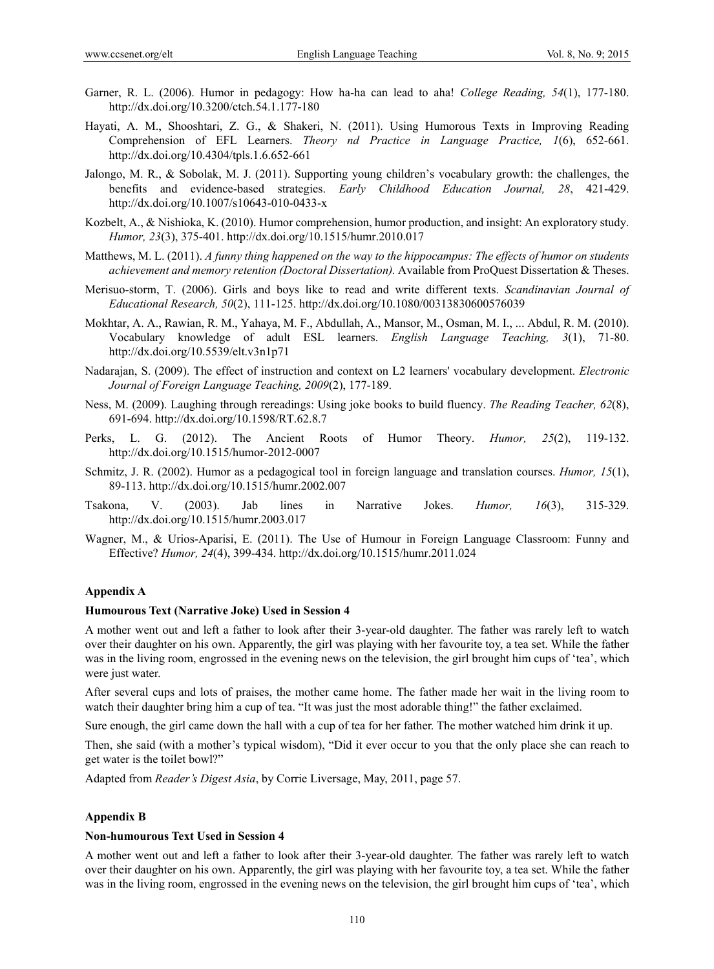- Garner, R. L. (2006). Humor in pedagogy: How ha-ha can lead to aha! *College Reading, 54*(1), 177-180. http://dx.doi.org/10.3200/ctch.54.1.177-180
- Hayati, A. M., Shooshtari, Z. G., & Shakeri, N. (2011). Using Humorous Texts in Improving Reading Comprehension of EFL Learners. *Theory nd Practice in Language Practice, 1*(6), 652-661. http://dx.doi.org/10.4304/tpls.1.6.652-661
- Jalongo, M. R., & Sobolak, M. J. (2011). Supporting young children's vocabulary growth: the challenges, the benefits and evidence-based strategies. *Early Childhood Education Journal, 28*, 421-429. http://dx.doi.org/10.1007/s10643-010-0433-x
- Kozbelt, A., & Nishioka, K. (2010). Humor comprehension, humor production, and insight: An exploratory study. *Humor, 23*(3), 375-401. http://dx.doi.org/10.1515/humr.2010.017
- Matthews, M. L. (2011). *A funny thing happened on the way to the hippocampus: The effects of humor on students achievement and memory retention (Doctoral Dissertation).* Available from ProQuest Dissertation & Theses.
- Merisuo-storm, T. (2006). Girls and boys like to read and write different texts. *Scandinavian Journal of Educational Research, 50*(2), 111-125. http://dx.doi.org/10.1080/00313830600576039
- Mokhtar, A. A., Rawian, R. M., Yahaya, M. F., Abdullah, A., Mansor, M., Osman, M. I., ... Abdul, R. M. (2010). Vocabulary knowledge of adult ESL learners. *English Language Teaching, 3*(1), 71-80. http://dx.doi.org/10.5539/elt.v3n1p71
- Nadarajan, S. (2009). The effect of instruction and context on L2 learners' vocabulary development. *Electronic Journal of Foreign Language Teaching, 2009*(2), 177-189.
- Ness, M. (2009). Laughing through rereadings: Using joke books to build fluency. *The Reading Teacher, 62*(8), 691-694. http://dx.doi.org/10.1598/RT.62.8.7
- Perks, L. G. (2012). The Ancient Roots of Humor Theory. *Humor, 25*(2), 119-132. http://dx.doi.org/10.1515/humor-2012-0007
- Schmitz, J. R. (2002). Humor as a pedagogical tool in foreign language and translation courses. *Humor, 15*(1), 89-113. http://dx.doi.org/10.1515/humr.2002.007
- Tsakona, V. (2003). Jab lines in Narrative Jokes. *Humor, 16*(3), 315-329. http://dx.doi.org/10.1515/humr.2003.017
- Wagner, M., & Urios-Aparisi, E. (2011). The Use of Humour in Foreign Language Classroom: Funny and Effective? *Humor, 24*(4), 399-434. http://dx.doi.org/10.1515/humr.2011.024

#### **Appendix A**

#### **Humourous Text (Narrative Joke) Used in Session 4**

A mother went out and left a father to look after their 3-year-old daughter. The father was rarely left to watch over their daughter on his own. Apparently, the girl was playing with her favourite toy, a tea set. While the father was in the living room, engrossed in the evening news on the television, the girl brought him cups of 'tea', which were just water.

After several cups and lots of praises, the mother came home. The father made her wait in the living room to watch their daughter bring him a cup of tea. "It was just the most adorable thing!" the father exclaimed.

Sure enough, the girl came down the hall with a cup of tea for her father. The mother watched him drink it up.

Then, she said (with a mother's typical wisdom), "Did it ever occur to you that the only place she can reach to get water is the toilet bowl?"

Adapted from *Reader's Digest Asia*, by Corrie Liversage, May, 2011, page 57.

#### **Appendix B**

#### **Non-humourous Text Used in Session 4**

A mother went out and left a father to look after their 3-year-old daughter. The father was rarely left to watch over their daughter on his own. Apparently, the girl was playing with her favourite toy, a tea set. While the father was in the living room, engrossed in the evening news on the television, the girl brought him cups of 'tea', which